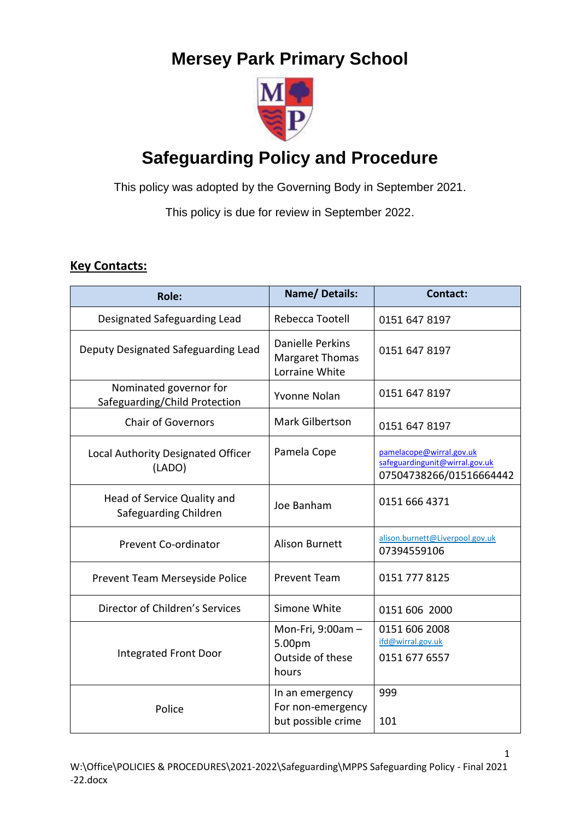# **Mersey Park Primary School**



# **Safeguarding Policy and Procedure**

This policy was adopted by the Governing Body in September 2021.

This policy is due for review in September 2022.

## **Key Contacts:**

| Role:                                                   | <b>Name/Details:</b>                                         | <b>Contact:</b>                                                                       |
|---------------------------------------------------------|--------------------------------------------------------------|---------------------------------------------------------------------------------------|
| Designated Safeguarding Lead                            | Rebecca Tootell                                              | 0151 647 8197                                                                         |
| Deputy Designated Safeguarding Lead                     | Danielle Perkins<br><b>Margaret Thomas</b><br>Lorraine White | 0151 647 8197                                                                         |
| Nominated governor for<br>Safeguarding/Child Protection | Yvonne Nolan                                                 | 0151 647 8197                                                                         |
| <b>Chair of Governors</b>                               | Mark Gilbertson                                              | 0151 647 8197                                                                         |
| Local Authority Designated Officer<br>(LADO)            | Pamela Cope                                                  | pamelacope@wirral.gov.uk<br>safeguardingunit@wirral.gov.uk<br>07504738266/01516664442 |
| Head of Service Quality and<br>Safeguarding Children    | Joe Banham                                                   | 0151 666 4371                                                                         |
| Prevent Co-ordinator                                    | <b>Alison Burnett</b>                                        | alison.burnett@Liverpool.gov.uk<br>07394559106                                        |
| Prevent Team Merseyside Police                          | <b>Prevent Team</b>                                          | 0151 777 8125                                                                         |
| Director of Children's Services                         | Simone White                                                 | 0151 606 2000                                                                         |
| <b>Integrated Front Door</b>                            | Mon-Fri, 9:00am -<br>5.00pm<br>Outside of these<br>hours     | 0151 606 2008<br>ifd@wirral.gov.uk<br>0151 677 6557                                   |
| Police                                                  | In an emergency<br>For non-emergency<br>but possible crime   | 999<br>101                                                                            |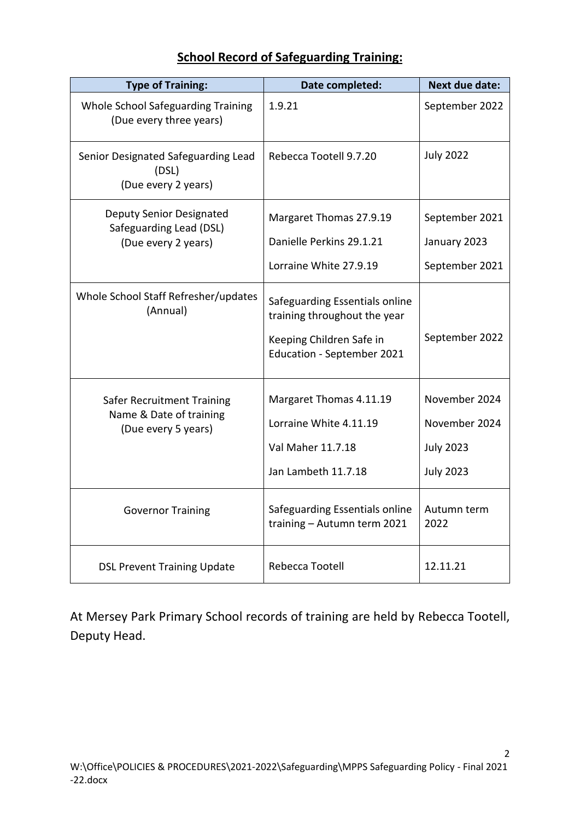## **School Record of Safeguarding Training:**

| <b>Type of Training:</b>                                                            | Date completed:                                                                                                                 | <b>Next due date:</b>                                                  |
|-------------------------------------------------------------------------------------|---------------------------------------------------------------------------------------------------------------------------------|------------------------------------------------------------------------|
| Whole School Safeguarding Training<br>(Due every three years)                       | 1.9.21                                                                                                                          | September 2022                                                         |
| Senior Designated Safeguarding Lead<br>(DSL)<br>(Due every 2 years)                 | Rebecca Tootell 9.7.20                                                                                                          | <b>July 2022</b>                                                       |
| Deputy Senior Designated<br>Safeguarding Lead (DSL)<br>(Due every 2 years)          | Margaret Thomas 27.9.19<br>Danielle Perkins 29.1.21<br>Lorraine White 27.9.19                                                   | September 2021<br>January 2023<br>September 2021                       |
| Whole School Staff Refresher/updates<br>(Annual)                                    | Safeguarding Essentials online<br>training throughout the year<br>Keeping Children Safe in<br><b>Education - September 2021</b> | September 2022                                                         |
| <b>Safer Recruitment Training</b><br>Name & Date of training<br>(Due every 5 years) | Margaret Thomas 4.11.19<br>Lorraine White 4.11.19<br>Val Maher 11.7.18<br>Jan Lambeth 11.7.18                                   | November 2024<br>November 2024<br><b>July 2023</b><br><b>July 2023</b> |
| <b>Governor Training</b>                                                            | Safeguarding Essentials online<br>training - Autumn term 2021                                                                   | Autumn term<br>2022                                                    |
| <b>DSL Prevent Training Update</b>                                                  | Rebecca Tootell                                                                                                                 | 12.11.21                                                               |

At Mersey Park Primary School records of training are held by Rebecca Tootell, Deputy Head.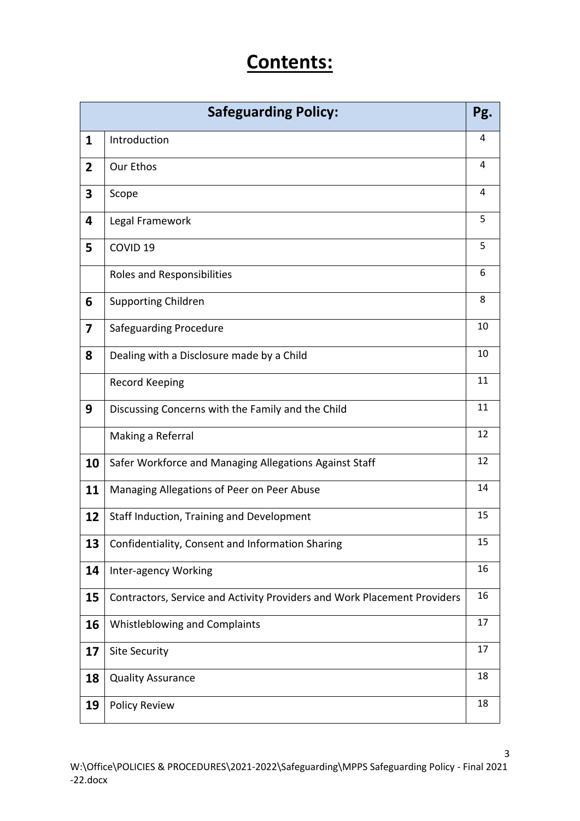# **Contents:**

| <b>Safeguarding Policy:</b><br>Pg. |                                                                          |    |
|------------------------------------|--------------------------------------------------------------------------|----|
| 1                                  | Introduction                                                             | 4  |
| $\overline{2}$                     | Our Ethos                                                                | 4  |
| 3                                  | Scope                                                                    | 4  |
| 4                                  | Legal Framework                                                          | 5  |
| 5                                  | COVID <sub>19</sub>                                                      | 5  |
|                                    | Roles and Responsibilities                                               | 6  |
| 6                                  | <b>Supporting Children</b>                                               | 8  |
| $\overline{\mathbf{z}}$            | Safeguarding Procedure                                                   | 10 |
| 8                                  | Dealing with a Disclosure made by a Child                                | 10 |
|                                    | <b>Record Keeping</b>                                                    | 11 |
| 9                                  | Discussing Concerns with the Family and the Child                        | 11 |
|                                    | Making a Referral                                                        | 12 |
| 10                                 | Safer Workforce and Managing Allegations Against Staff                   | 12 |
| 11                                 | Managing Allegations of Peer on Peer Abuse                               | 14 |
| 12                                 | Staff Induction, Training and Development                                | 15 |
| 13                                 | Confidentiality, Consent and Information Sharing                         | 15 |
| 14                                 | Inter-agency Working                                                     | 16 |
| 15                                 | Contractors, Service and Activity Providers and Work Placement Providers | 16 |
| 16                                 | <b>Whistleblowing and Complaints</b>                                     | 17 |
| 17                                 | Site Security                                                            | 17 |
| 18                                 | <b>Quality Assurance</b>                                                 | 18 |
| 19                                 | <b>Policy Review</b>                                                     | 18 |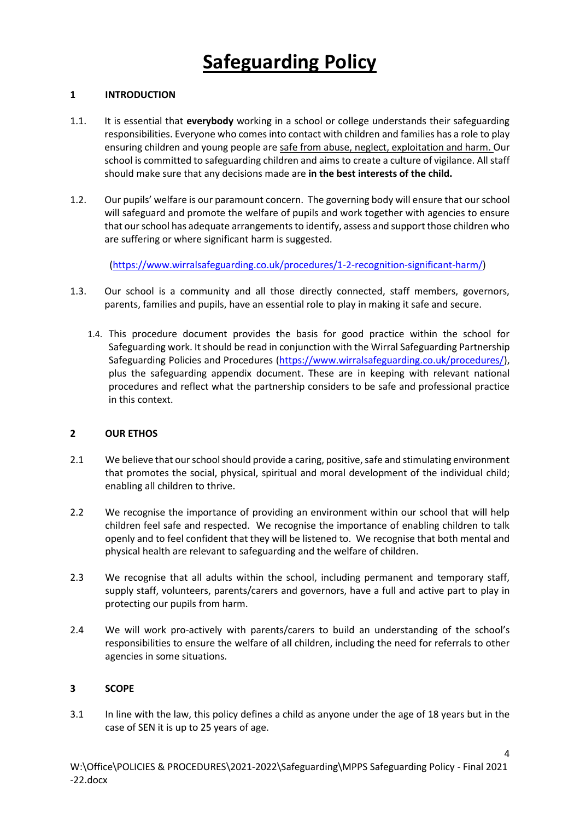### **1 INTRODUCTION**

- 1.1. It is essential that **everybody** working in a school or college understands their safeguarding responsibilities. Everyone who comes into contact with children and families has a role to play ensuring children and young people are safe from abuse, neglect, exploitation and harm. Our school is committed to safeguarding children and aims to create a culture of vigilance. All staff should make sure that any decisions made are **in the best interests of the child.**
- 1.2. Our pupils' welfare is our paramount concern. The governing body will ensure that our school will safeguard and promote the welfare of pupils and work together with agencies to ensure that our school has adequate arrangements to identify, assess and support those children who are suffering or where significant harm is suggested.

[\(https://www.wirralsafeguarding.co.uk/procedures/1-2-recognition-significant-harm/\)](https://www.wirralsafeguarding.co.uk/procedures/1-2-recognition-significant-harm/)

- 1.3. Our school is a community and all those directly connected, staff members, governors, parents, families and pupils, have an essential role to play in making it safe and secure.
	- 1.4. This procedure document provides the basis for good practice within the school for Safeguarding work. It should be read in conjunction with the Wirral Safeguarding Partnership Safeguarding Policies and Procedures [\(https://www.wirralsafeguarding.co.uk/procedures/\)](https://www.wirralsafeguarding.co.uk/procedures/), plus the safeguarding appendix document. These are in keeping with relevant national procedures and reflect what the partnership considers to be safe and professional practice in this context.

### **2 OUR ETHOS**

- 2.1 We believe that our school should provide a caring, positive, safe and stimulating environment that promotes the social, physical, spiritual and moral development of the individual child; enabling all children to thrive.
- 2.2 We recognise the importance of providing an environment within our school that will help children feel safe and respected. We recognise the importance of enabling children to talk openly and to feel confident that they will be listened to. We recognise that both mental and physical health are relevant to safeguarding and the welfare of children.
- 2.3 We recognise that all adults within the school, including permanent and temporary staff, supply staff, volunteers, parents/carers and governors, have a full and active part to play in protecting our pupils from harm.
- 2.4 We will work pro-actively with parents/carers to build an understanding of the school's responsibilities to ensure the welfare of all children, including the need for referrals to other agencies in some situations.

### **3 SCOPE**

3.1 In line with the law, this policy defines a child as anyone under the age of 18 years but in the case of SEN it is up to 25 years of age.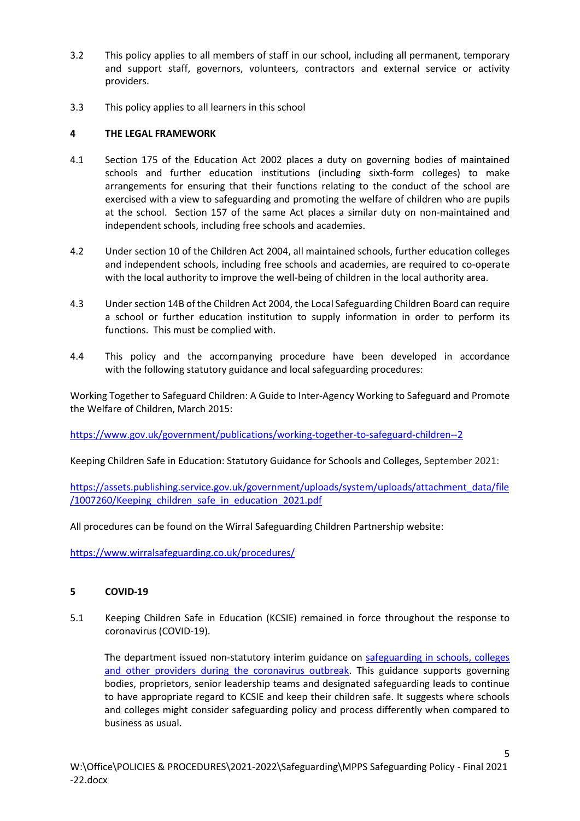- 3.2 This policy applies to all members of staff in our school, including all permanent, temporary and support staff, governors, volunteers, contractors and external service or activity providers.
- 3.3 This policy applies to all learners in this school

### **4 THE LEGAL FRAMEWORK**

- 4.1 Section 175 of the Education Act 2002 places a duty on governing bodies of maintained schools and further education institutions (including sixth-form colleges) to make arrangements for ensuring that their functions relating to the conduct of the school are exercised with a view to safeguarding and promoting the welfare of children who are pupils at the school. Section 157 of the same Act places a similar duty on non-maintained and independent schools, including free schools and academies.
- 4.2 Under section 10 of the Children Act 2004, all maintained schools, further education colleges and independent schools, including free schools and academies, are required to co-operate with the local authority to improve the well-being of children in the local authority area.
- 4.3 Under section 14B of the Children Act 2004, the Local Safeguarding Children Board can require a school or further education institution to supply information in order to perform its functions. This must be complied with.
- 4.4 This policy and the accompanying procedure have been developed in accordance with the following statutory guidance and local safeguarding procedures:

Working Together to Safeguard Children: A Guide to Inter-Agency Working to Safeguard and Promote the Welfare of Children, March 2015:

<https://www.gov.uk/government/publications/working-together-to-safeguard-children--2>

Keeping Children Safe in Education: Statutory Guidance for Schools and Colleges, September 2021:

[https://assets.publishing.service.gov.uk/government/uploads/system/uploads/attachment\\_data/file](https://assets.publishing.service.gov.uk/government/uploads/system/uploads/attachment_data/file/1007260/Keeping_children_safe_in_education_2021.pdf) [/1007260/Keeping\\_children\\_safe\\_in\\_education\\_2021.pdf](https://assets.publishing.service.gov.uk/government/uploads/system/uploads/attachment_data/file/1007260/Keeping_children_safe_in_education_2021.pdf)

All procedures can be found on the Wirral Safeguarding Children Partnership website:

<https://www.wirralsafeguarding.co.uk/procedures/>

### **5 COVID-19**

5.1 Keeping Children Safe in Education (KCSIE) remained in force throughout the response to coronavirus (COVID-19).

The department issued non-statutory interim guidance on [safeguarding in schools, colleges](https://www.gov.uk/government/publications/covid-19-safeguarding-in-schools-colleges-and-other-providers)  [and other providers during the coronavirus outbreak.](https://www.gov.uk/government/publications/covid-19-safeguarding-in-schools-colleges-and-other-providers) This guidance supports governing bodies, proprietors, senior leadership teams and designated safeguarding leads to continue to have appropriate regard to KCSIE and keep their children safe. It suggests where schools and colleges might consider safeguarding policy and process differently when compared to business as usual.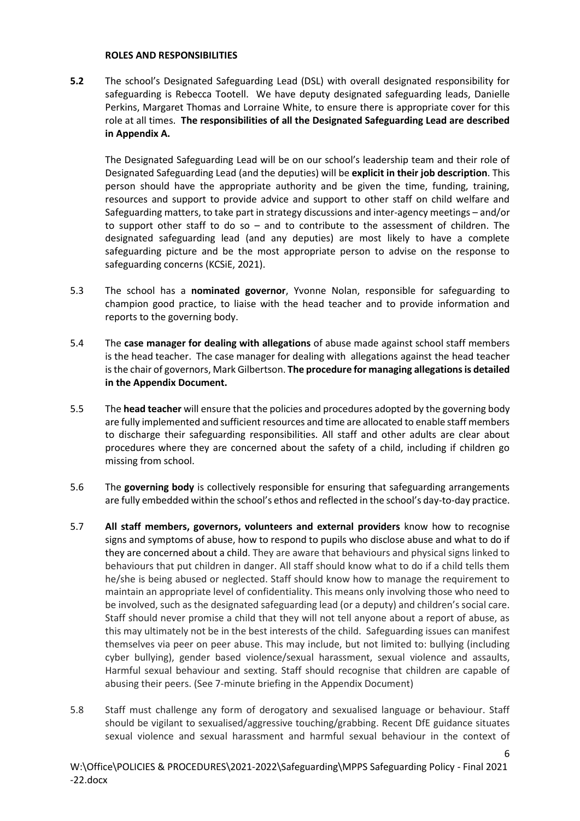#### **ROLES AND RESPONSIBILITIES**

**5.2** The school's Designated Safeguarding Lead (DSL) with overall designated responsibility for safeguarding is Rebecca Tootell. We have deputy designated safeguarding leads, Danielle Perkins, Margaret Thomas and Lorraine White, to ensure there is appropriate cover for this role at all times. **The responsibilities of all the Designated Safeguarding Lead are described in Appendix A.**

The Designated Safeguarding Lead will be on our school's leadership team and their role of Designated Safeguarding Lead (and the deputies) will be **explicit in their job description**. This person should have the appropriate authority and be given the time, funding, training, resources and support to provide advice and support to other staff on child welfare and Safeguarding matters, to take part in strategy discussions and inter-agency meetings – and/or to support other staff to do so – and to contribute to the assessment of children. The designated safeguarding lead (and any deputies) are most likely to have a complete safeguarding picture and be the most appropriate person to advise on the response to safeguarding concerns (KCSiE, 2021).

- 5.3 The school has a **nominated governor**, Yvonne Nolan, responsible for safeguarding to champion good practice, to liaise with the head teacher and to provide information and reports to the governing body.
- 5.4 The **case manager for dealing with allegations** of abuse made against school staff members is the head teacher. The case manager for dealing with allegations against the head teacher is the chair of governors, Mark Gilbertson. **The procedure for managing allegations is detailed in the Appendix Document.**
- 5.5 The **head teacher** will ensure that the policies and procedures adopted by the governing body are fully implemented and sufficient resources and time are allocated to enable staff members to discharge their safeguarding responsibilities. All staff and other adults are clear about procedures where they are concerned about the safety of a child, including if children go missing from school.
- 5.6 The **governing body** is collectively responsible for ensuring that safeguarding arrangements are fully embedded within the school's ethos and reflected in the school's day-to-day practice.
- 5.7 **All staff members, governors, volunteers and external providers** know how to recognise signs and symptoms of abuse, how to respond to pupils who disclose abuse and what to do if they are concerned about a child. They are aware that behaviours and physical signs linked to behaviours that put children in danger. All staff should know what to do if a child tells them he/she is being abused or neglected. Staff should know how to manage the requirement to maintain an appropriate level of confidentiality. This means only involving those who need to be involved, such as the designated safeguarding lead (or a deputy) and children's social care. Staff should never promise a child that they will not tell anyone about a report of abuse, as this may ultimately not be in the best interests of the child. Safeguarding issues can manifest themselves via peer on peer abuse. This may include, but not limited to: bullying (including cyber bullying), gender based violence/sexual harassment, sexual violence and assaults, Harmful sexual behaviour and sexting. Staff should recognise that children are capable of abusing their peers. (See 7-minute briefing in the Appendix Document)
- 5.8 Staff must challenge any form of derogatory and sexualised language or behaviour. Staff should be vigilant to sexualised/aggressive touching/grabbing. Recent DfE guidance situates sexual violence and sexual harassment and harmful sexual behaviour in the context of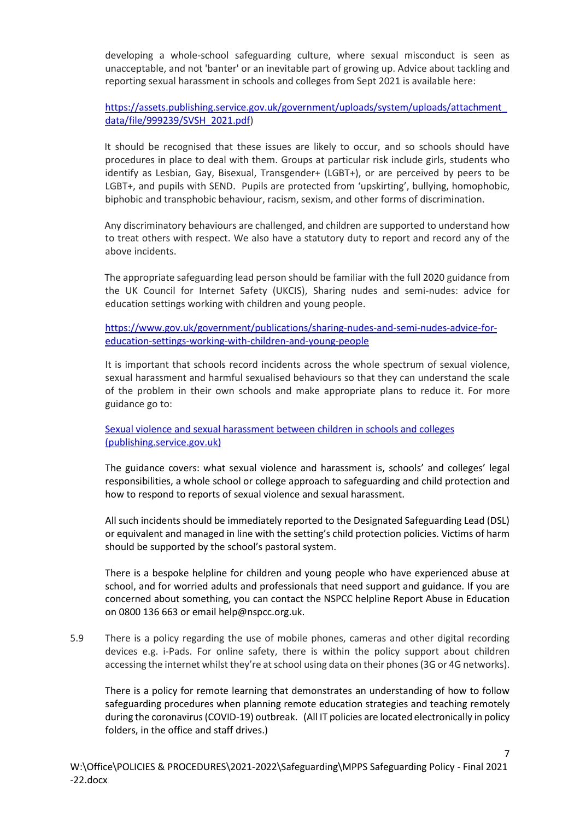developing a whole-school safeguarding culture, where sexual misconduct is seen as unacceptable, and not 'banter' or an inevitable part of growing up. Advice about tackling and reporting sexual harassment in schools and colleges from Sept 2021 is available here:

[https://assets.publishing.service.gov.uk/government/uploads/system/uploads/attachment\\_](https://assets.publishing.service.gov.uk/government/uploads/system/uploads/attachment_data/file/999239/SVSH_2021.pdf) [data/file/999239/SVSH\\_2021.pdf\)](https://assets.publishing.service.gov.uk/government/uploads/system/uploads/attachment_data/file/999239/SVSH_2021.pdf)

It should be recognised that these issues are likely to occur, and so schools should have procedures in place to deal with them. Groups at particular risk include girls, students who identify as Lesbian, Gay, Bisexual, Transgender+ (LGBT+), or are perceived by peers to be LGBT+, and pupils with SEND. Pupils are protected from 'upskirting', bullying, homophobic, biphobic and transphobic behaviour, racism, sexism, and other forms of discrimination.

Any discriminatory behaviours are challenged, and children are supported to understand how to treat others with respect. We also have a statutory duty to report and record any of the above incidents.

The appropriate safeguarding lead person should be familiar with the full 2020 guidance from the UK Council for Internet Safety (UKCIS), Sharing nudes and semi-nudes: advice for education settings working with children and young people.

[https://www.gov.uk/government/publications/sharing-nudes-and-semi-nudes-advice-for](https://www.gov.uk/government/publications/sharing-nudes-and-semi-nudes-advice-for-education-settings-working-with-children-and-young-people)[education-settings-working-with-children-and-young-people](https://www.gov.uk/government/publications/sharing-nudes-and-semi-nudes-advice-for-education-settings-working-with-children-and-young-people)

It is important that schools record incidents across the whole spectrum of sexual violence, sexual harassment and harmful sexualised behaviours so that they can understand the scale of the problem in their own schools and make appropriate plans to reduce it. For more guidance go to:

[Sexual violence and sexual harassment between children](file://///server/users/teachers/r.tootell/downloads/Sexual%20violence%20and%20sexual%20harassment%20between%20children%20in%20schools%20and%20colleges%20(publishing.service.gov.uk)) in schools and colleges [\(publishing.service.gov.uk\)](file://///server/users/teachers/r.tootell/downloads/Sexual%20violence%20and%20sexual%20harassment%20between%20children%20in%20schools%20and%20colleges%20(publishing.service.gov.uk))

The guidance covers: what sexual violence and harassment is, schools' and colleges' legal responsibilities, a whole school or college approach to safeguarding and child protection and how to respond to reports of sexual violence and sexual harassment.

All such incidents should be immediately reported to the Designated Safeguarding Lead (DSL) or equivalent and managed in line with the setting's child protection policies. Victims of harm should be supported by the school's pastoral system.

There is a bespoke helpline for children and young people who have experienced abuse at school, and for worried adults and professionals that need support and guidance. If you are concerned about something, you can contact the NSPCC helpline Report Abuse in Education on 0800 136 663 or email help@nspcc.org.uk.

5.9 There is a policy regarding the use of mobile phones, cameras and other digital recording devices e.g. i-Pads. For online safety, there is within the policy support about children accessing the internet whilst they're at school using data on their phones (3G or 4G networks).

There is a policy for remote learning that demonstrates an understanding of how to follow safeguarding procedures when planning remote education strategies and teaching remotely during the coronavirus (COVID-19) outbreak. (All IT policies are located electronically in policy folders, in the office and staff drives.)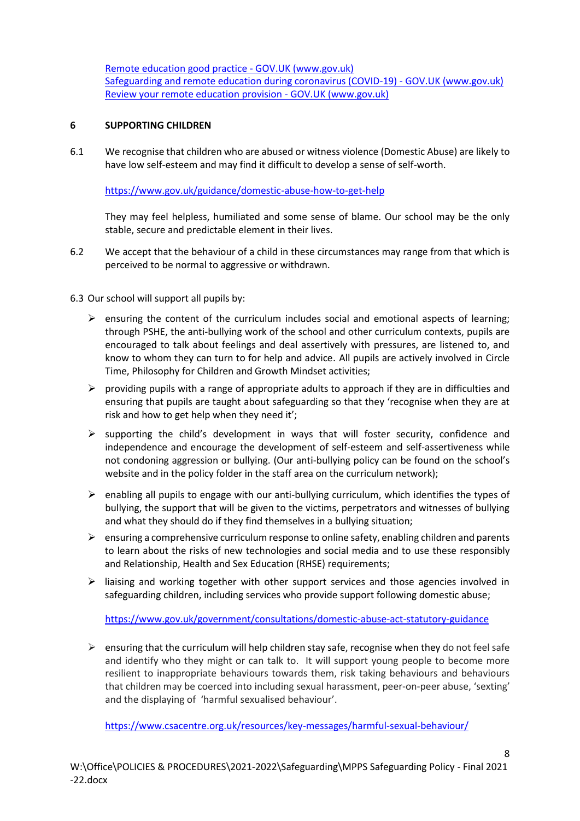[Remote education good practice -](https://www.gov.uk/government/publications/remote-education-good-practice/remote-education-good-practice) GOV.UK (www.gov.uk) [Safeguarding and remote education during coronavirus \(COVID-19\) -](https://www.gov.uk/guidance/safeguarding-and-remote-education-during-coronavirus-covid-19) GOV.UK (www.gov.uk) Review your remote education provision - GOV.UK (www.gov.uk)

### **6 SUPPORTING CHILDREN**

6.1 We recognise that children who are abused or witness violence (Domestic Abuse) are likely to have low self-esteem and may find it difficult to develop a sense of self-worth.

### <https://www.gov.uk/guidance/domestic-abuse-how-to-get-help>

They may feel helpless, humiliated and some sense of blame. Our school may be the only stable, secure and predictable element in their lives.

- 6.2 We accept that the behaviour of a child in these circumstances may range from that which is perceived to be normal to aggressive or withdrawn.
- 6.3 Our school will support all pupils by:
	- $\triangleright$  ensuring the content of the curriculum includes social and emotional aspects of learning; through PSHE, the anti-bullying work of the school and other curriculum contexts, pupils are encouraged to talk about feelings and deal assertively with pressures, are listened to, and know to whom they can turn to for help and advice. All pupils are actively involved in Circle Time, Philosophy for Children and Growth Mindset activities;
	- $\triangleright$  providing pupils with a range of appropriate adults to approach if they are in difficulties and ensuring that pupils are taught about safeguarding so that they 'recognise when they are at risk and how to get help when they need it';
	- $\triangleright$  supporting the child's development in ways that will foster security, confidence and independence and encourage the development of self-esteem and self-assertiveness while not condoning aggression or bullying. (Our anti-bullying policy can be found on the school's website and in the policy folder in the staff area on the curriculum network);
	- $\triangleright$  enabling all pupils to engage with our anti-bullying curriculum, which identifies the types of bullying, the support that will be given to the victims, perpetrators and witnesses of bullying and what they should do if they find themselves in a bullying situation;
	- $\triangleright$  ensuring a comprehensive curriculum response to online safety, enabling children and parents to learn about the risks of new technologies and social media and to use these responsibly and Relationship, Health and Sex Education (RHSE) requirements;
	- $\triangleright$  liaising and working together with other support services and those agencies involved in safeguarding children, including services who provide support following domestic abuse;

<https://www.gov.uk/government/consultations/domestic-abuse-act-statutory-guidance>

 $\triangleright$  ensuring that the curriculum will help children stay safe, recognise when they do not feel safe and identify who they might or can talk to. It will support young people to become more resilient to inappropriate behaviours towards them, risk taking behaviours and behaviours that children may be coerced into including sexual harassment, peer-on-peer abuse, 'sexting' and the displaying of 'harmful sexualised behaviour'.

<https://www.csacentre.org.uk/resources/key-messages/harmful-sexual-behaviour/>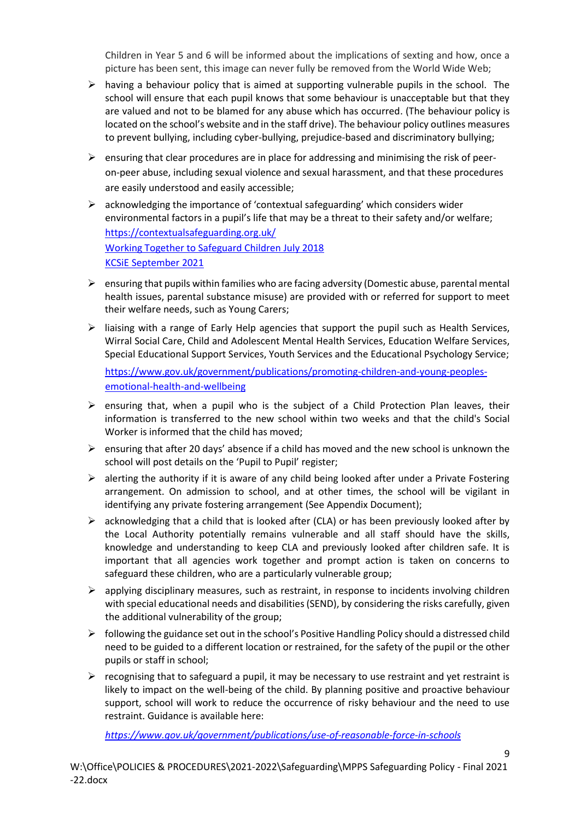Children in Year 5 and 6 will be informed about the implications of sexting and how, once a picture has been sent, this image can never fully be removed from the World Wide Web;

- $\triangleright$  having a behaviour policy that is aimed at supporting vulnerable pupils in the school. The school will ensure that each pupil knows that some behaviour is unacceptable but that they are valued and not to be blamed for any abuse which has occurred. (The behaviour policy is located on the school's website and in the staff drive). The behaviour policy outlines measures to prevent bullying, including cyber-bullying, prejudice-based and discriminatory bullying;
- $\triangleright$  ensuring that clear procedures are in place for addressing and minimising the risk of peeron-peer abuse, including sexual violence and sexual harassment, and that these procedures are easily understood and easily accessible;
- $\triangleright$  acknowledging the importance of 'contextual safeguarding' which considers wider environmental factors in a pupil's life that may be a threat to their safety and/or welfare; <https://contextualsafeguarding.org.uk/> [Working Together to Safeguard Children](https://www.gov.uk/government/publications/working-together-to-safeguard-children--2) July 2018 [KCSiE September 2021](https://assets.publishing.service.gov.uk/government/uploads/system/uploads/attachment_data/file/1007260/Keeping_children_safe_in_education_2021.pdf)
- $\triangleright$  ensuring that pupils within families who are facing adversity (Domestic abuse, parental mental health issues, parental substance misuse) are provided with or referred for support to meet their welfare needs, such as Young Carers;
- $\triangleright$  liaising with a range of Early Help agencies that support the pupil such as Health Services, Wirral Social Care, Child and Adolescent Mental Health Services, Education Welfare Services, Special Educational Support Services, Youth Services and the Educational Psychology Service; [https://www.gov.uk/government/publications/promoting-children-and-young-peoples](https://www.gov.uk/government/publications/promoting-children-and-young-peoples-emotional-health-and-wellbeing)[emotional-health-and-wellbeing](https://www.gov.uk/government/publications/promoting-children-and-young-peoples-emotional-health-and-wellbeing)
- $\triangleright$  ensuring that, when a pupil who is the subject of a Child Protection Plan leaves, their information is transferred to the new school within two weeks and that the child's Social Worker is informed that the child has moved;
- $\triangleright$  ensuring that after 20 days' absence if a child has moved and the new school is unknown the school will post details on the 'Pupil to Pupil' register;
- $\triangleright$  alerting the authority if it is aware of any child being looked after under a Private Fostering arrangement. On admission to school, and at other times, the school will be vigilant in identifying any private fostering arrangement (See Appendix Document);
- $\triangleright$  acknowledging that a child that is looked after (CLA) or has been previously looked after by the Local Authority potentially remains vulnerable and all staff should have the skills, knowledge and understanding to keep CLA and previously looked after children safe. It is important that all agencies work together and prompt action is taken on concerns to safeguard these children, who are a particularly vulnerable group;
- $\triangleright$  applying disciplinary measures, such as restraint, in response to incidents involving children with special educational needs and disabilities (SEND), by considering the risks carefully, given the additional vulnerability of the group;
- $\triangleright$  following the guidance set out in the school's Positive Handling Policy should a distressed child need to be guided to a different location or restrained, for the safety of the pupil or the other pupils or staff in school;
- $\triangleright$  recognising that to safeguard a pupil, it may be necessary to use restraint and yet restraint is likely to impact on the well-being of the child. By planning positive and proactive behaviour support, school will work to reduce the occurrence of risky behaviour and the need to use restraint. Guidance is available here:

9

*<https://www.gov.uk/government/publications/use-of-reasonable-force-in-schools>*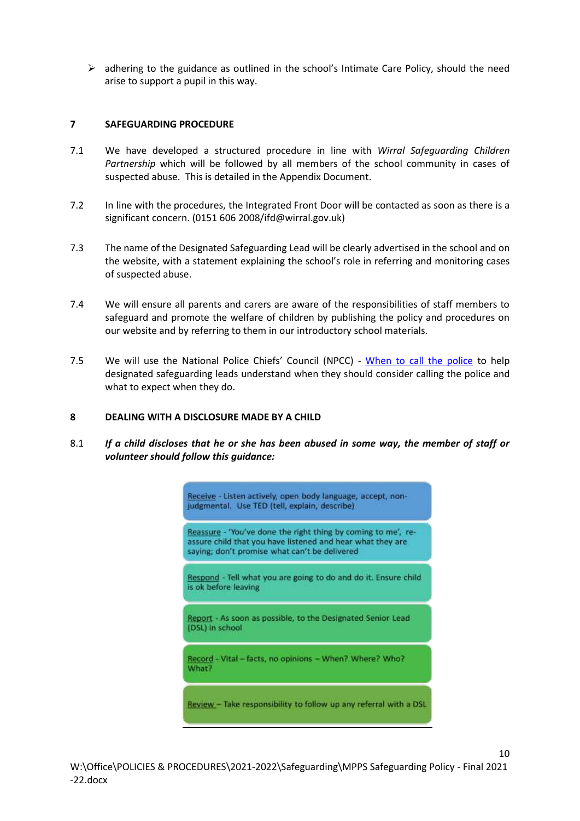$\triangleright$  adhering to the guidance as outlined in the school's Intimate Care Policy, should the need arise to support a pupil in this way.

### **7 SAFEGUARDING PROCEDURE**

- 7.1 We have developed a structured procedure in line with *Wirral Safeguarding Children Partnership* which will be followed by all members of the school community in cases of suspected abuse. This is detailed in the Appendix Document.
- 7.2 In line with the procedures, the Integrated Front Door will be contacted as soon as there is a significant concern. (0151 606 2008/ifd@wirral.gov.uk)
- 7.3 The name of the Designated Safeguarding Lead will be clearly advertised in the school and on the website, with a statement explaining the school's role in referring and monitoring cases of suspected abuse.
- 7.4 We will ensure all parents and carers are aware of the responsibilities of staff members to safeguard and promote the welfare of children by publishing the policy and procedures on our website and by referring to them in our introductory school materials.
- 7.5 We will use the National Police Chiefs' Council (NPCC) [When to call the police](https://www.npcc.police.uk/documents/Children%20and%20Young%20people/When%20to%20call%20the%20police%20guidance%20for%20schools%20and%20colleges.pdf) to help designated safeguarding leads understand when they should consider calling the police and what to expect when they do.

### **8 DEALING WITH A DISCLOSURE MADE BY A CHILD**

8.1 *If a child discloses that he or she has been abused in some way, the member of staff or volunteer should follow this guidance:*

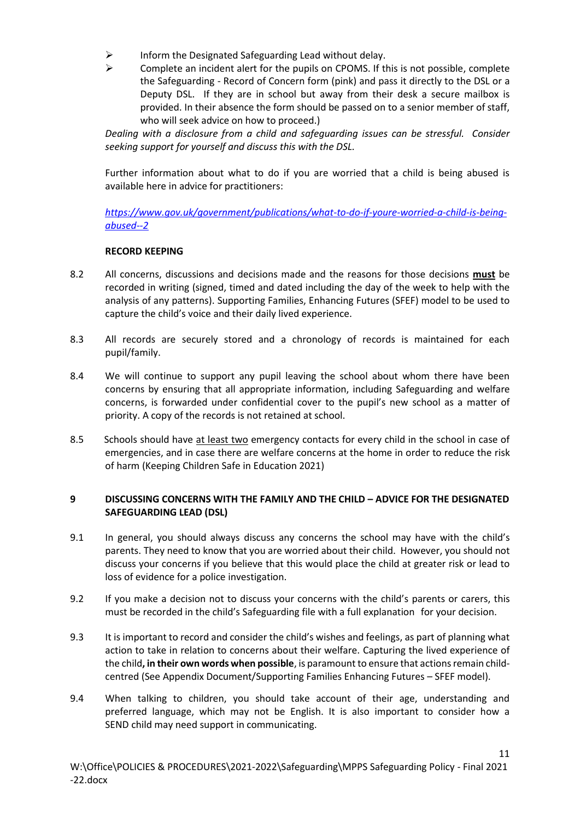- ➢ Inform the Designated Safeguarding Lead without delay.
- ➢ Complete an incident alert for the pupils on CPOMS. If this is not possible, complete the Safeguarding - Record of Concern form (pink) and pass it directly to the DSL or a Deputy DSL. If they are in school but away from their desk a secure mailbox is provided. In their absence the form should be passed on to a senior member of staff, who will seek advice on how to proceed.)

*Dealing with a disclosure from a child and safeguarding issues can be stressful. Consider seeking support for yourself and discuss this with the DSL.*

Further information about what to do if you are worried that a child is being abused is available here in advice for practitioners:

*[https://www.gov.uk/government/publications/what-to-do-if-youre-worried-a-child-is-being](https://www.gov.uk/government/publications/what-to-do-if-youre-worried-a-child-is-being-abused--2)[abused--2](https://www.gov.uk/government/publications/what-to-do-if-youre-worried-a-child-is-being-abused--2)*

### **RECORD KEEPING**

- 8.2 All concerns, discussions and decisions made and the reasons for those decisions **must** be recorded in writing (signed, timed and dated including the day of the week to help with the analysis of any patterns). Supporting Families, Enhancing Futures (SFEF) model to be used to capture the child's voice and their daily lived experience.
- 8.3 All records are securely stored and a chronology of records is maintained for each pupil/family.
- 8.4 We will continue to support any pupil leaving the school about whom there have been concerns by ensuring that all appropriate information, including Safeguarding and welfare concerns, is forwarded under confidential cover to the pupil's new school as a matter of priority. A copy of the records is not retained at school.
- 8.5 Schools should have at least two emergency contacts for every child in the school in case of emergencies, and in case there are welfare concerns at the home in order to reduce the risk of harm (Keeping Children Safe in Education 2021)

### **9 DISCUSSING CONCERNS WITH THE FAMILY AND THE CHILD – ADVICE FOR THE DESIGNATED SAFEGUARDING LEAD (DSL)**

- 9.1 In general, you should always discuss any concerns the school may have with the child's parents. They need to know that you are worried about their child. However, you should not discuss your concerns if you believe that this would place the child at greater risk or lead to loss of evidence for a police investigation.
- 9.2 If you make a decision not to discuss your concerns with the child's parents or carers, this must be recorded in the child's Safeguarding file with a full explanation for your decision.
- 9.3 It is important to record and consider the child's wishes and feelings, as part of planning what action to take in relation to concerns about their welfare. Capturing the lived experience of the child**, in their own words when possible**, is paramount to ensure that actions remain childcentred (See Appendix Document/Supporting Families Enhancing Futures – SFEF model).
- 9.4 When talking to children, you should take account of their age, understanding and preferred language, which may not be English. It is also important to consider how a SEND child may need support in communicating.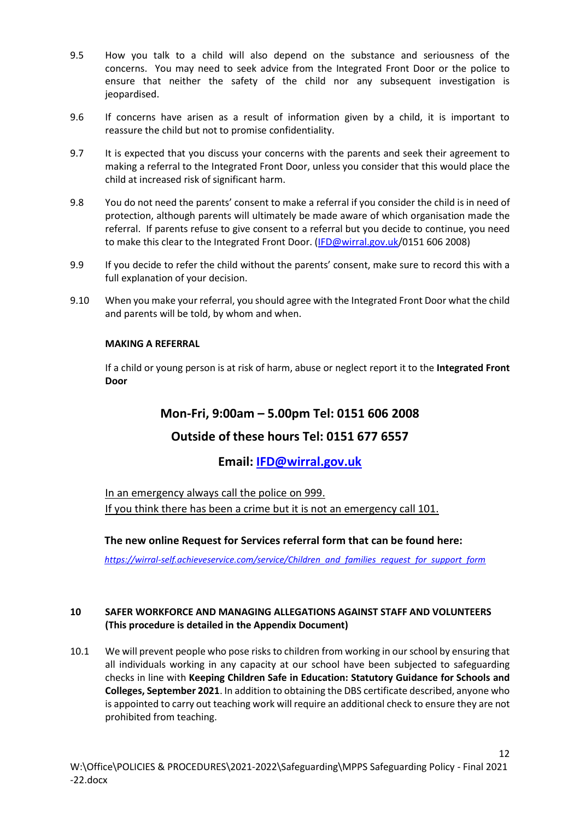- 9.5 How you talk to a child will also depend on the substance and seriousness of the concerns. You may need to seek advice from the Integrated Front Door or the police to ensure that neither the safety of the child nor any subsequent investigation is jeopardised.
- 9.6 If concerns have arisen as a result of information given by a child, it is important to reassure the child but not to promise confidentiality.
- 9.7 It is expected that you discuss your concerns with the parents and seek their agreement to making a referral to the Integrated Front Door, unless you consider that this would place the child at increased risk of significant harm.
- 9.8 You do not need the parents' consent to make a referral if you consider the child is in need of protection, although parents will ultimately be made aware of which organisation made the referral. If parents refuse to give consent to a referral but you decide to continue, you need to make this clear to the Integrated Front Door. [\(IFD@wirral.gov.uk/](mailto:IFD@wirral.gov.uk)0151 606 2008)
- 9.9 If you decide to refer the child without the parents' consent, make sure to record this with a full explanation of your decision.
- 9.10 When you make your referral, you should agree with the Integrated Front Door what the child and parents will be told, by whom and when.

### **MAKING A REFERRAL**

If a child or young person is at risk of harm, abuse or neglect report it to the **Integrated Front Door**

## **Mon-Fri, 9:00am – 5.00pm Tel: 0151 606 2008**

## **Outside of these hours Tel: 0151 677 6557**

### **Email: [IFD@wirral.gov.uk](file://///server/users/teachers/r.tootell/downloads/IFD@wirral.gov.uk)**

In an emergency always call the police on 999. If you think there has been a crime but it is not an emergency call 101.

### **The new online Request for Services referral form that can be found here:**

*[https://wirral-self.achieveservice.com/service/Children\\_and\\_families\\_request\\_for\\_support\\_form](https://wirral-self.achieveservice.com/service/Children_and_families_request_for_support_form)*

### **10 SAFER WORKFORCE AND MANAGING ALLEGATIONS AGAINST STAFF AND VOLUNTEERS (This procedure is detailed in the Appendix Document)**

10.1 We will prevent people who pose risks to children from working in our school by ensuring that all individuals working in any capacity at our school have been subjected to safeguarding checks in line with **Keeping Children Safe in Education: Statutory Guidance for Schools and Colleges, September 2021**. In addition to obtaining the DBS certificate described, anyone who is appointed to carry out teaching work will require an additional check to ensure they are not prohibited from teaching.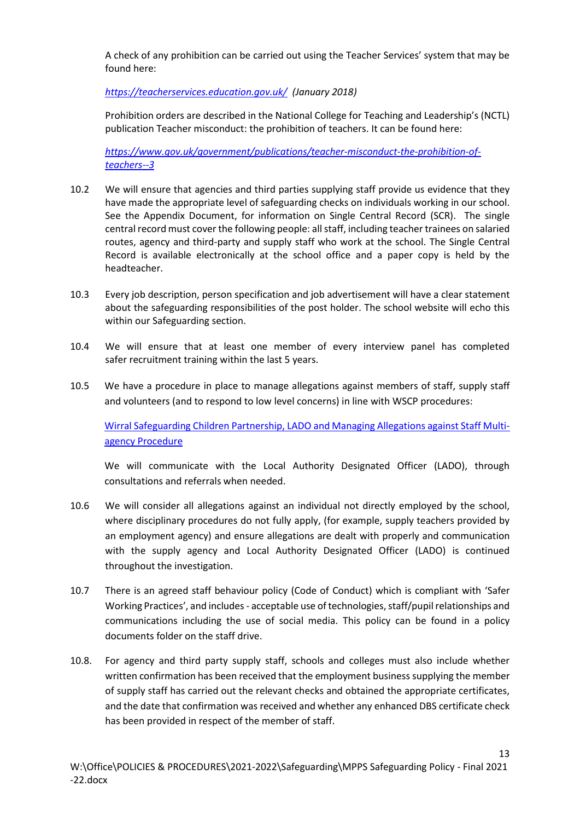A check of any prohibition can be carried out using the Teacher Services' system that may be found here:

*<https://teacherservices.education.gov.uk/> (January 2018)*

 Prohibition orders are described in the National College for Teaching and Leadership's (NCTL) publication Teacher misconduct: the prohibition of teachers. It can be found here:

*[https://www.gov.uk/government/publications/teacher-misconduct-the-prohibition-of](https://www.gov.uk/government/publications/teacher-misconduct-the-prohibition-of-teachers--3)[teachers--3](https://www.gov.uk/government/publications/teacher-misconduct-the-prohibition-of-teachers--3)*

- 10.2 We will ensure that agencies and third parties supplying staff provide us evidence that they have made the appropriate level of safeguarding checks on individuals working in our school. See the Appendix Document, for information on Single Central Record (SCR). The single central record must cover the following people: all staff, including teacher trainees on salaried routes, agency and third-party and supply staff who work at the school. The Single Central Record is available electronically at the school office and a paper copy is held by the headteacher.
- 10.3 Every job description, person specification and job advertisement will have a clear statement about the safeguarding responsibilities of the post holder. The school website will echo this within our Safeguarding section.
- 10.4 We will ensure that at least one member of every interview panel has completed safer recruitment training within the last 5 years.
- 10.5 We have a procedure in place to manage allegations against members of staff, supply staff and volunteers (and to respond to low level concerns) in line with WSCP procedures:

[Wirral Safeguarding Children Partnership, LADO and Managing Allegations against Staff Multi](https://www.wirralsafeguarding.co.uk/wp-content/uploads/2020/12/LADO-Managing-Allegations-against-Staff-Procedure.pdf)[agency Procedure](https://www.wirralsafeguarding.co.uk/wp-content/uploads/2020/12/LADO-Managing-Allegations-against-Staff-Procedure.pdf)

We will communicate with the Local Authority Designated Officer (LADO), through consultations and referrals when needed.

- 10.6 We will consider all allegations against an individual not directly employed by the school, where disciplinary procedures do not fully apply, (for example, supply teachers provided by an employment agency) and ensure allegations are dealt with properly and communication with the supply agency and Local Authority Designated Officer (LADO) is continued throughout the investigation.
- 10.7 There is an agreed staff behaviour policy (Code of Conduct) which is compliant with 'Safer Working Practices', and includes - acceptable use of technologies, staff/pupil relationships and communications including the use of social media. This policy can be found in a policy documents folder on the staff drive.
- 10.8. For agency and third party supply staff, schools and colleges must also include whether written confirmation has been received that the employment business supplying the member of supply staff has carried out the relevant checks and obtained the appropriate certificates, and the date that confirmation was received and whether any enhanced DBS certificate check has been provided in respect of the member of staff.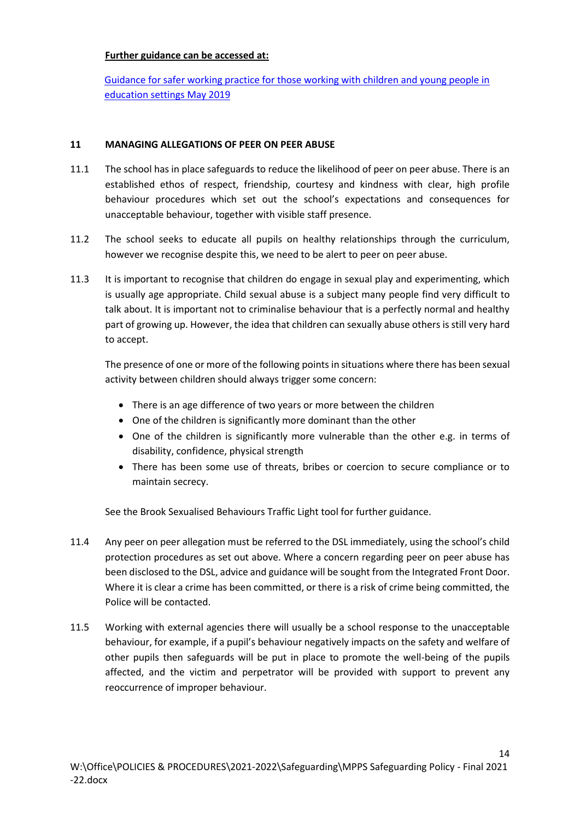### **Further guidance can be accessed at:**

[Guidance for safer working practice for those working with children and young people in](https://c-cluster-110.uploads.documents.cimpress.io/v1/uploads/13ecce28-e8f2-49e9-83c6-c29337cd8071~110/original?tenant=vbu-digital)  [education settings May 2019](https://c-cluster-110.uploads.documents.cimpress.io/v1/uploads/13ecce28-e8f2-49e9-83c6-c29337cd8071~110/original?tenant=vbu-digital)

### **11 MANAGING ALLEGATIONS OF PEER ON PEER ABUSE**

- 11.1 The school has in place safeguards to reduce the likelihood of peer on peer abuse. There is an established ethos of respect, friendship, courtesy and kindness with clear, high profile behaviour procedures which set out the school's expectations and consequences for unacceptable behaviour, together with visible staff presence.
- 11.2 The school seeks to educate all pupils on healthy relationships through the curriculum, however we recognise despite this, we need to be alert to peer on peer abuse.
- 11.3 It is important to recognise that children do engage in sexual play and experimenting, which is usually age appropriate. Child sexual abuse is a subject many people find very difficult to talk about. It is important not to criminalise behaviour that is a perfectly normal and healthy part of growing up. However, the idea that children can sexually abuse others is still very hard to accept.

The presence of one or more of the following points in situations where there has been sexual activity between children should always trigger some concern:

- There is an age difference of two years or more between the children
- One of the children is significantly more dominant than the other
- One of the children is significantly more vulnerable than the other e.g. in terms of disability, confidence, physical strength
- There has been some use of threats, bribes or coercion to secure compliance or to maintain secrecy.

See the Brook Sexualised Behaviours Traffic Light tool for further guidance.

- 11.4 Any peer on peer allegation must be referred to the DSL immediately, using the school's child protection procedures as set out above. Where a concern regarding peer on peer abuse has been disclosed to the DSL, advice and guidance will be sought from the Integrated Front Door. Where it is clear a crime has been committed, or there is a risk of crime being committed, the Police will be contacted.
- 11.5 Working with external agencies there will usually be a school response to the unacceptable behaviour, for example, if a pupil's behaviour negatively impacts on the safety and welfare of other pupils then safeguards will be put in place to promote the well-being of the pupils affected, and the victim and perpetrator will be provided with support to prevent any reoccurrence of improper behaviour.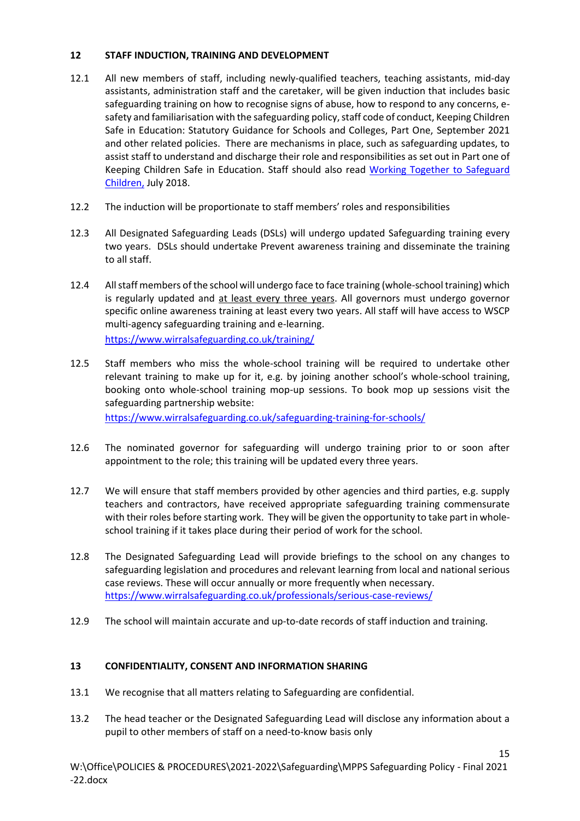### **12 STAFF INDUCTION, TRAINING AND DEVELOPMENT**

- 12.1 All new members of staff, including newly-qualified teachers, teaching assistants, mid-day assistants, administration staff and the caretaker, will be given induction that includes basic safeguarding training on how to recognise signs of abuse, how to respond to any concerns, esafety and familiarisation with the safeguarding policy, staff code of conduct, Keeping Children Safe in Education: Statutory Guidance for Schools and Colleges, Part One, September 2021 and other related policies. There are mechanisms in place, such as safeguarding updates, to assist staff to understand and discharge their role and responsibilities as set out in Part one of Keeping Children Safe in Education. Staff should also read [Working Together to Safeguard](https://www.gov.uk/government/publications/working-together-to-safeguard-children--2)  [Children,](https://www.gov.uk/government/publications/working-together-to-safeguard-children--2) July 2018.
- 12.2 The induction will be proportionate to staff members' roles and responsibilities
- 12.3 All Designated Safeguarding Leads (DSLs) will undergo updated Safeguarding training every two years. DSLs should undertake Prevent awareness training and disseminate the training to all staff.
- 12.4 All staff members of the school will undergo face to face training (whole-school training) which is regularly updated and at least every three years. All governors must undergo governor specific online awareness training at least every two years. All staff will have access to WSCP multi-agency safeguarding training and e-learning. <https://www.wirralsafeguarding.co.uk/training/>
- 12.5 Staff members who miss the whole-school training will be required to undertake other relevant training to make up for it, e.g. by joining another school's whole-school training, booking onto whole-school training mop-up sessions. To book mop up sessions visit the safeguarding partnership website:

<https://www.wirralsafeguarding.co.uk/safeguarding-training-for-schools/>

- 12.6 The nominated governor for safeguarding will undergo training prior to or soon after appointment to the role; this training will be updated every three years.
- 12.7 We will ensure that staff members provided by other agencies and third parties, e.g. supply teachers and contractors, have received appropriate safeguarding training commensurate with their roles before starting work. They will be given the opportunity to take part in wholeschool training if it takes place during their period of work for the school.
- 12.8 The Designated Safeguarding Lead will provide briefings to the school on any changes to safeguarding legislation and procedures and relevant learning from local and national serious case reviews. These will occur annually or more frequently when necessary. <https://www.wirralsafeguarding.co.uk/professionals/serious-case-reviews/>
- 12.9 The school will maintain accurate and up-to-date records of staff induction and training.

### **13 CONFIDENTIALITY, CONSENT AND INFORMATION SHARING**

- 13.1 We recognise that all matters relating to Safeguarding are confidential.
- 13.2 The head teacher or the Designated Safeguarding Lead will disclose any information about a pupil to other members of staff on a need-to-know basis only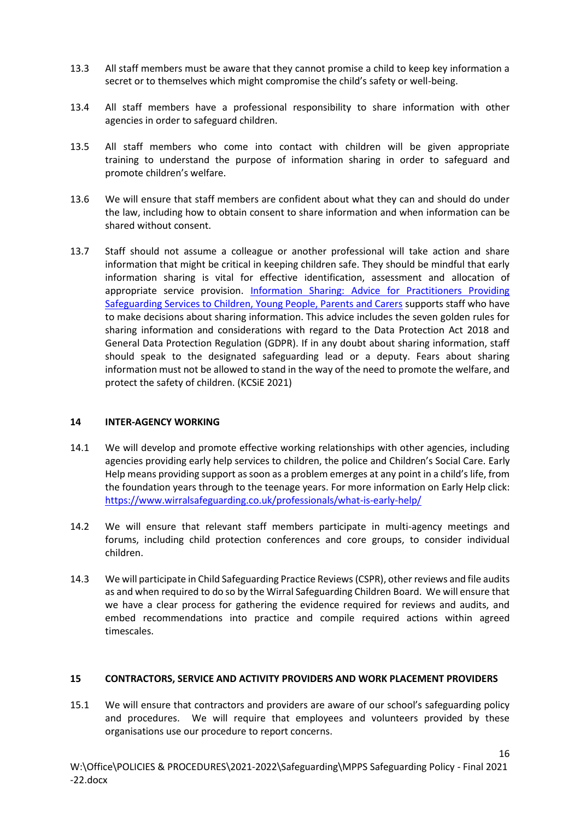- 13.3 All staff members must be aware that they cannot promise a child to keep key information a secret or to themselves which might compromise the child's safety or well-being.
- 13.4 All staff members have a professional responsibility to share information with other agencies in order to safeguard children.
- 13.5 All staff members who come into contact with children will be given appropriate training to understand the purpose of information sharing in order to safeguard and promote children's welfare.
- 13.6 We will ensure that staff members are confident about what they can and should do under the law, including how to obtain consent to share information and when information can be shared without consent.
- 13.7 Staff should not assume a colleague or another professional will take action and share information that might be critical in keeping children safe. They should be mindful that early information sharing is vital for effective identification, assessment and allocation of appropriate service provision. Information Sharing: Advice for Practitioners Providing [Safeguarding Services to Children, Young People, Parents and Carers](https://www.gov.uk/government/publications/safeguarding-practitioners-information-sharing-advice) supports staff who have to make decisions about sharing information. This advice includes the seven golden rules for sharing information and considerations with regard to the Data Protection Act 2018 and General Data Protection Regulation (GDPR). If in any doubt about sharing information, staff should speak to the designated safeguarding lead or a deputy. Fears about sharing information must not be allowed to stand in the way of the need to promote the welfare, and protect the safety of children. (KCSiE 2021)

### **14 INTER-AGENCY WORKING**

- 14.1 We will develop and promote effective working relationships with other agencies, including agencies providing early help services to children, the police and Children's Social Care. Early Help means providing support as soon as a problem emerges at any point in a child's life, from the foundation years through to the teenage years. For more information on Early Help click: <https://www.wirralsafeguarding.co.uk/professionals/what-is-early-help/>
- 14.2 We will ensure that relevant staff members participate in multi-agency meetings and forums, including child protection conferences and core groups, to consider individual children.
- 14.3 We will participate in Child Safeguarding Practice Reviews (CSPR), other reviews and file audits as and when required to do so by the Wirral Safeguarding Children Board. We will ensure that we have a clear process for gathering the evidence required for reviews and audits, and embed recommendations into practice and compile required actions within agreed timescales.

### **15 CONTRACTORS, SERVICE AND ACTIVITY PROVIDERS AND WORK PLACEMENT PROVIDERS**

15.1 We will ensure that contractors and providers are aware of our school's safeguarding policy and procedures. We will require that employees and volunteers provided by these organisations use our procedure to report concerns.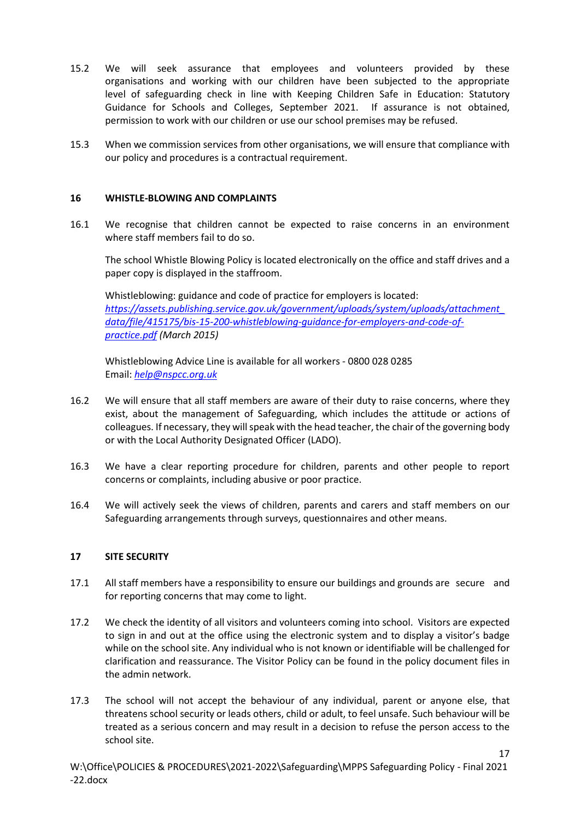- 15.2 We will seek assurance that employees and volunteers provided by these organisations and working with our children have been subjected to the appropriate level of safeguarding check in line with Keeping Children Safe in Education: Statutory Guidance for Schools and Colleges, September 2021. If assurance is not obtained, permission to work with our children or use our school premises may be refused.
- 15.3 When we commission services from other organisations, we will ensure that compliance with our policy and procedures is a contractual requirement.

### **16 WHISTLE-BLOWING AND COMPLAINTS**

16.1 We recognise that children cannot be expected to raise concerns in an environment where staff members fail to do so.

The school Whistle Blowing Policy is located electronically on the office and staff drives and a paper copy is displayed in the staffroom.

Whistleblowing: guidance and code of practice for employers is located: *[https://assets.publishing.service.gov.uk/government/uploads/system/uploads/attachment\\_](https://assets.publishing.service.gov.uk/government/uploads/system/uploads/attachment_data/file/415175/bis-15-200-whistleblowing-guidance-for-employers-and-code-of-practice.pdf) [data/file/415175/bis-15-200-whistleblowing-guidance-for-employers-and-code-of](https://assets.publishing.service.gov.uk/government/uploads/system/uploads/attachment_data/file/415175/bis-15-200-whistleblowing-guidance-for-employers-and-code-of-practice.pdf)[practice.pdf](https://assets.publishing.service.gov.uk/government/uploads/system/uploads/attachment_data/file/415175/bis-15-200-whistleblowing-guidance-for-employers-and-code-of-practice.pdf) (March 2015)*

Whistleblowing Advice Line is available for all workers - 0800 028 0285 Email: *[help@nspcc.org.uk](mailto:help@nspcc.org.uk)*

- 16.2 We will ensure that all staff members are aware of their duty to raise concerns, where they exist, about the management of Safeguarding, which includes the attitude or actions of colleagues. If necessary, they will speak with the head teacher, the chair of the governing body or with the Local Authority Designated Officer (LADO).
- 16.3 We have a clear reporting procedure for children, parents and other people to report concerns or complaints, including abusive or poor practice.
- 16.4 We will actively seek the views of children, parents and carers and staff members on our Safeguarding arrangements through surveys, questionnaires and other means.

### **17 SITE SECURITY**

- 17.1 All staff members have a responsibility to ensure our buildings and grounds are secure and for reporting concerns that may come to light.
- 17.2 We check the identity of all visitors and volunteers coming into school. Visitors are expected to sign in and out at the office using the electronic system and to display a visitor's badge while on the school site. Any individual who is not known or identifiable will be challenged for clarification and reassurance. The Visitor Policy can be found in the policy document files in the admin network.
- 17.3 The school will not accept the behaviour of any individual, parent or anyone else, that threatens school security or leads others, child or adult, to feel unsafe. Such behaviour will be treated as a serious concern and may result in a decision to refuse the person access to the school site.